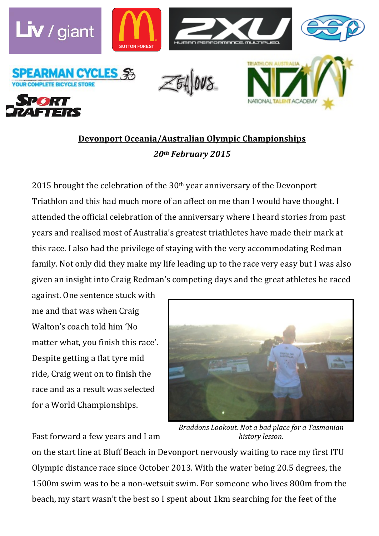

## **Devonport Oceania/Australian Olympic Championships** *20th February 2015*

2015 brought the celebration of the  $30<sup>th</sup>$  year anniversary of the Devonport Triathlon and this had much more of an affect on me than I would have thought. I attended the official celebration of the anniversary where I heard stories from past years and realised most of Australia's greatest triathletes have made their mark at this race. I also had the privilege of staying with the very accommodating Redman family. Not only did they make my life leading up to the race very easy but I was also given an insight into Craig Redman's competing days and the great athletes he raced

against. One sentence stuck with me and that was when Craig Walton's coach told him 'No matter what, you finish this race'. Despite getting a flat tyre mid. ride, Craig went on to finish the race and as a result was selected for a World Championships.

Fast forward a few years and I am



*Braddons Lookout. Not a bad place for a Tasmanian history lesson.*

on the start line at Bluff Beach in Devonport nervously waiting to race my first ITU Olympic distance race since October 2013. With the water being 20.5 degrees, the 1500m swim was to be a non-wetsuit swim. For someone who lives 800m from the beach, my start wasn't the best so I spent about 1km searching for the feet of the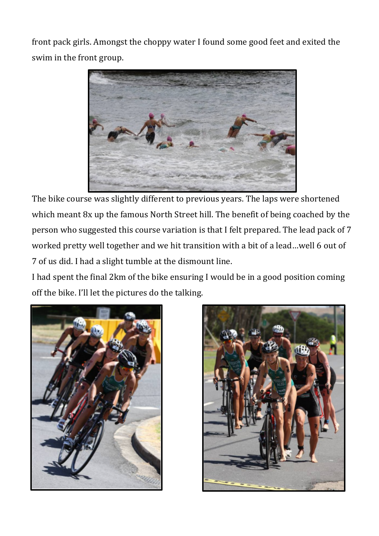front pack girls. Amongst the choppy water I found some good feet and exited the swim in the front group.



The bike course was slightly different to previous years. The laps were shortened which meant  $8x$  up the famous North Street hill. The benefit of being coached by the person who suggested this course variation is that I felt prepared. The lead pack of 7 worked pretty well together and we hit transition with a bit of a lead...well 6 out of 7 of us did. I had a slight tumble at the dismount line.

I had spent the final 2km of the bike ensuring I would be in a good position coming off the bike. I'll let the pictures do the talking.



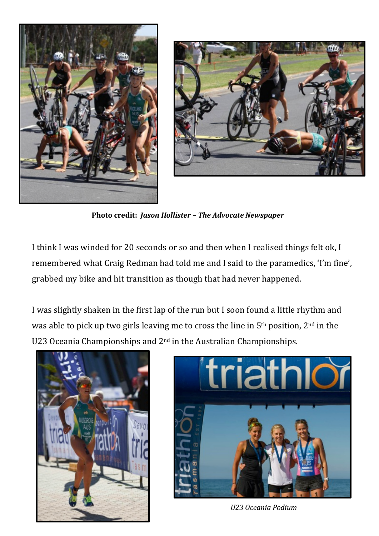



**Photo credit:** *Jason Hollister – The Advocate Newspaper*

I think I was winded for 20 seconds or so and then when I realised things felt ok, I remembered what Craig Redman had told me and I said to the paramedics, 'I'm fine', grabbed my bike and hit transition as though that had never happened.

I was slightly shaken in the first lap of the run but I soon found a little rhythm and was able to pick up two girls leaving me to cross the line in  $5<sup>th</sup>$  position,  $2<sup>nd</sup>$  in the U23 Oceania Championships and  $2<sup>nd</sup>$  in the Australian Championships.





*U23 Oceania Podium*